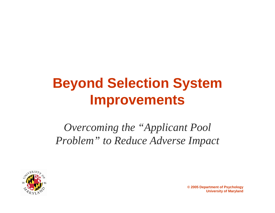# **Beyond Selection System Improvements**

*Overcoming the "Applicant Pool Problem" to Reduce Adverse Impact*

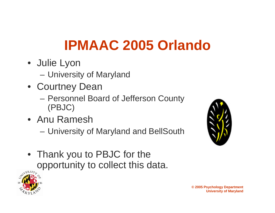# **IPMAAC 2005 Orlando**

- Julie Lyon
	- University of Maryland
- Courtney Dean
	- Personnel Board of Jefferson County (PBJC)
- Anu Ramesh
	- –University of Maryland and BellSouth
- Thank you to PBJC for the opportunity to collect this data.



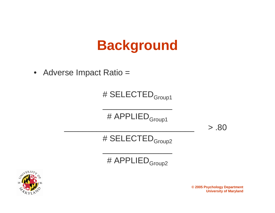## **Background**

• Adverse Impact Ratio =

#### # SELECTED<sub>Group1</sub>

# APPLIED<sub>Group1</sub>

 $\mathcal{L}_\text{max}$  and  $\mathcal{L}_\text{max}$  are the set of the set of the set of the set of the set of the set of the set of the set of the set of the set of the set of the set of the set of the set of the set of the set of the set o

 $> .80$ 

# SELECTED<sub>Group2</sub>

# APPLIED<sub>Group2</sub>

 $\overline{\phantom{a}}$  , and the contribution of the contribution of the contribution of the contribution of the contribution of the contribution of the contribution of the contribution of the contribution of the contribution of the



**© 2005 Psychology Department University of Maryland**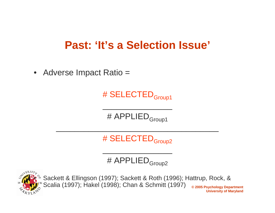### **Past: 'It's a Selection Issue'**

• Adverse Impact Ratio =

### # SELECTED<sub>Group1</sub>

# APPLIED<sub>Group1</sub>

 $\mathcal{L}_\text{max}$  and  $\mathcal{L}_\text{max}$  are the set of the set of the set of the set of the set of the set of the set of the set of the set of the set of the set of the set of the set of the set of the set of the set of the set o

# SELECTED<sub>Group2</sub>

 $\mathcal{L}_\mathcal{L}$  , and the set of the set of the set of the set of the set of the set of the set of the set of the set of the set of the set of the set of the set of the set of the set of the set of the set of the set of th

# APPLIED<sub>Group2</sub>

 $\overline{\phantom{a}}$  , and the contribution of the contribution of the contribution of the contribution of the contribution of the contribution of the contribution of the contribution of the contribution of the contribution of the



**© 2005 Psychology Department University of Maryland** Sackett & Ellingson (1997); Sackett & Roth (1996); Hattrup, Rock, & Scalia (1997); Hakel (1998); Chan & Schmitt (1997)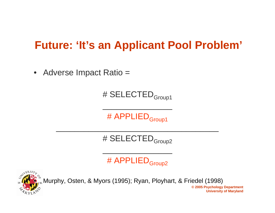### **Future: 'It's an Applicant Pool Problem'**

• Adverse Impact Ratio =

#### # SELECTED<sub>Group1</sub>

# APPLIED<sub>Group1</sub>

 $\mathcal{L}_\text{max}$  and  $\mathcal{L}_\text{max}$  are the set of the set of the set of the set of the set of the set of the set of the set of the set of the set of the set of the set of the set of the set of the set of the set of the set o

# SELECTED<sub>Group2</sub>

 $\mathcal{L}_\mathcal{L}$  , and the set of the set of the set of the set of the set of the set of the set of the set of the set of the set of the set of the set of the set of the set of the set of the set of the set of the set of th

# APPLIED<sub>Group2</sub>

 $\overline{\phantom{a}}$  , and the contribution of the contribution of the contribution of the contribution of the contribution of the contribution of the contribution of the contribution of the contribution of the contribution of the



 $\int_{56}^{\infty}$ Murphy, Osten, & Myors (1995); Ryan, Ployhart, & Friedel (1998)

**© 2005 Psychology Department University of Maryland**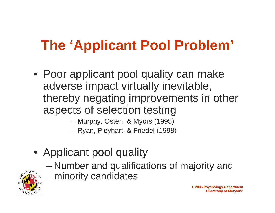# **The 'Applicant Pool Problem'**

• Poor applicant pool quality can make adverse impact virtually inevitable, thereby negating improvements in other aspects of selection testing

Murphy, Osten, & Myors (1995)

Ryan, Ployhart, & Friedel (1998)

- Applicant pool quality
	- Number and qualifications of majority and minority candidates

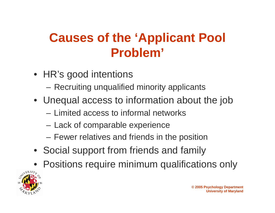### **Causes of the 'Applicant Pool Problem'**

- HR's good intentions
	- **Hart Communication** Recruiting unqualified minority applicants
- Unequal access to information about the job
	- Limited access to informal networks
	- –Lack of comparable experience
	- –Fewer relatives and friends in the position
- Social support from friends and family
- Positions require minimum qualifications only

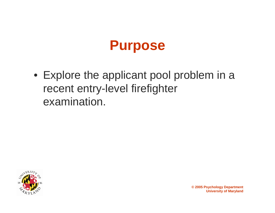

• Explore the applicant pool problem in a recent entry-level firefighter examination.

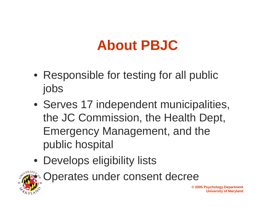## **About PBJC**

- Responsible for testing for all public jobs
- Serves 17 independent municipalities, the JC Commission, the Health Dept, Emergency Management, and the public hospital
- Develops eligibility lists



Operates under consent decree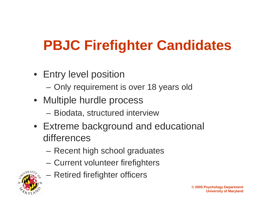# **PBJC Firefighter Candidates**

- Entry level position
	- **Hart Communication** Only requirement is over 18 years old
- Multiple hurdle process
	- –Biodata, structured interview
- Extreme background and educational differences
	- Recent high school graduates
	- Current volunteer firefighters



Retired firefighter officers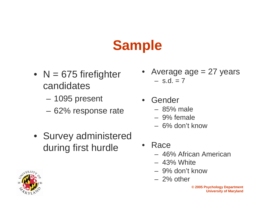# **Sample**

- N = 675 firefighter candidates
	- 1095 present
	- 62% response rate
- Survey administered during first hurdle
- •Average  $age = 27$  years – s.d. = 7
- Gender
	- 85% male
	- 9% female
	- 6% don't know
- • Race
	- 46% African American
	- 43% White
	- 9% don't know
	- 2% other

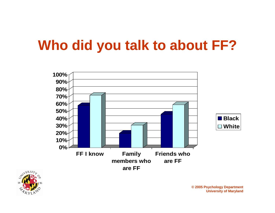# **Who did you talk to about FF?**



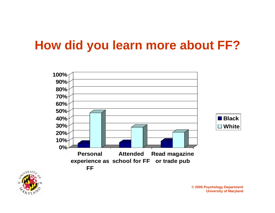### **How did you learn more about FF?**



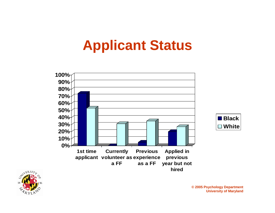## **Applicant Status**





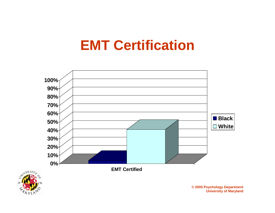## **EMT Certification**



STIVERSIT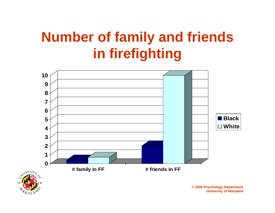# **Number of family and friends in firefighting**

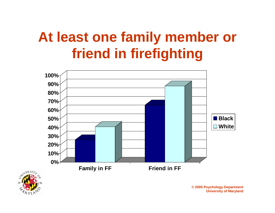# **At least one family member or friend in firefighting**



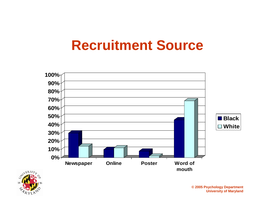## **Recruitment Source**



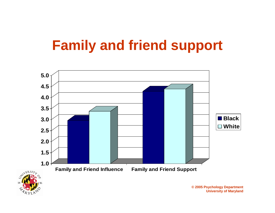# **Family and friend support**

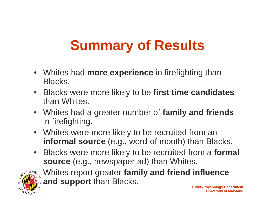# **Summary of Results**

- Whites had **more experience** in firefighting than Blacks.
- Blacks were more likely to be **first time candidates** than Whites.
- Whites had a greater number of **family and friends** in firefighting.
- Whites were more likely to be recruited from an **informal source** (e.g., word-of mouth) than Blacks.
- Blacks were more likely to be recruited from a **formal source** (e.g., newspaper ad) than Whites.



 Whites report greater **family and friend influence and support** than Blacks.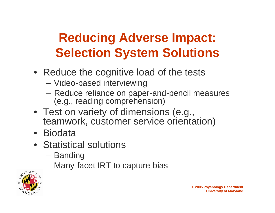## **Reducing Adverse Impact: Selection System Solutions**

- Reduce the cognitive load of the tests
	- Video-based interviewing
	- **Line Communication**  Reduce reliance on paper-and-pencil measures (e.g., reading comprehension)
- Test on variety of dimensions (e.g., teamwork, customer service orientation)
- Biodata
- Statistical solutions
	- Banding
	- –Many-facet IRT to capture bias

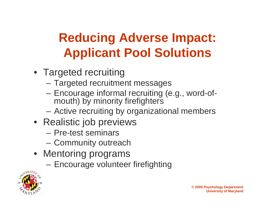## **Reducing Adverse Impact: Applicant Pool Solutions**

- Targeted recruiting
	- Targeted recruitment messages
	- **Line Communication**  Encourage informal recruiting (e.g., word-ofmouth) by minority firefighters
	- **Line Communication** Active recruiting by organizational members
- Realistic job previews
	- Pre-test seminars
	- Community outreach
- Mentoring programs
	- –Encourage volunteer firefighting

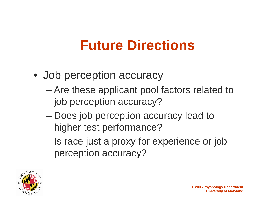# **Future Directions**

- Job perception accuracy
	- Are these applicant pool factors related to job perception accuracy?
	- and the state of the state Does job perception accuracy lead to higher test performance?
	- **Links of the Company**  Is race just a proxy for experience or job perception accuracy?

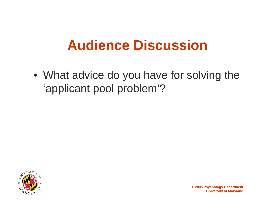## **Audience Discussion**

• What advice do you have for solving the 'applicant pool problem'?